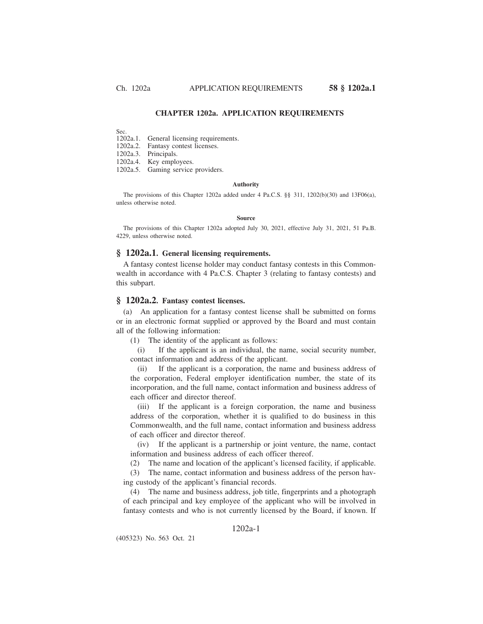## **CHAPTER 1202a. APPLICATION REQUIREMENTS**

Sec.<br>1202a.1. General licensing requirements.

1202a.2. Fantasy contest licenses.

1202a.3. Principals.

1202a.4. Key employees.

1202a.5. Gaming service providers.

#### **Authority**

The provisions of this Chapter 1202a added under 4 Pa.C.S. §§ 311, 1202(b)(30) and 13F06(a), unless otherwise noted.

#### **Source**

The provisions of this Chapter 1202a adopted July 30, 2021, effective July 31, 2021, 51 Pa.B. 4229, unless otherwise noted.

## **§ 1202a.1. General licensing requirements.**

A fantasy contest license holder may conduct fantasy contests in this Commonwealth in accordance with 4 Pa.C.S. Chapter 3 (relating to fantasy contests) and this subpart.

### **§ 1202a.2. Fantasy contest licenses.**

(a) An application for a fantasy contest license shall be submitted on forms or in an electronic format supplied or approved by the Board and must contain all of the following information:

(1) The identity of the applicant as follows:

(i) If the applicant is an individual, the name, social security number, contact information and address of the applicant.

(ii) If the applicant is a corporation, the name and business address of the corporation, Federal employer identification number, the state of its incorporation, and the full name, contact information and business address of each officer and director thereof.

(iii) If the applicant is a foreign corporation, the name and business address of the corporation, whether it is qualified to do business in this Commonwealth, and the full name, contact information and business address of each officer and director thereof.

(iv) If the applicant is a partnership or joint venture, the name, contact information and business address of each officer thereof.

(2) The name and location of the applicant's licensed facility, if applicable.

(3) The name, contact information and business address of the person having custody of the applicant's financial records.

(4) The name and business address, job title, fingerprints and a photograph of each principal and key employee of the applicant who will be involved in fantasy contests and who is not currently licensed by the Board, if known. If

# 1202a-1

(405323) No. 563 Oct. 21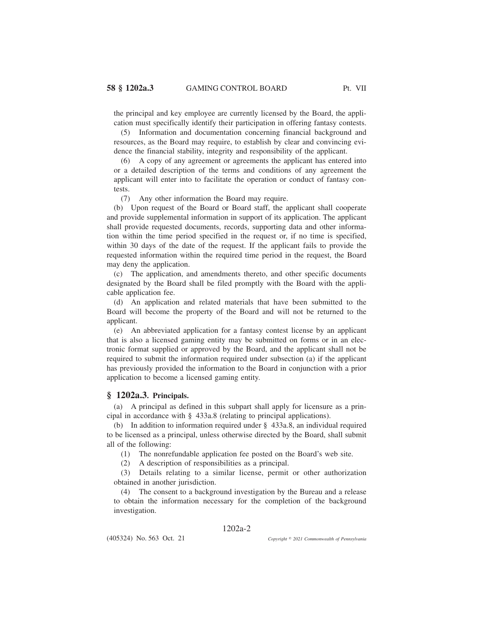the principal and key employee are currently licensed by the Board, the application must specifically identify their participation in offering fantasy contests.

(5) Information and documentation concerning financial background and resources, as the Board may require, to establish by clear and convincing evidence the financial stability, integrity and responsibility of the applicant.

(6) A copy of any agreement or agreements the applicant has entered into or a detailed description of the terms and conditions of any agreement the applicant will enter into to facilitate the operation or conduct of fantasy contests.

(7) Any other information the Board may require.

(b) Upon request of the Board or Board staff, the applicant shall cooperate and provide supplemental information in support of its application. The applicant shall provide requested documents, records, supporting data and other information within the time period specified in the request or, if no time is specified, within 30 days of the date of the request. If the applicant fails to provide the requested information within the required time period in the request, the Board may deny the application.

(c) The application, and amendments thereto, and other specific documents designated by the Board shall be filed promptly with the Board with the applicable application fee.

(d) An application and related materials that have been submitted to the Board will become the property of the Board and will not be returned to the applicant.

(e) An abbreviated application for a fantasy contest license by an applicant that is also a licensed gaming entity may be submitted on forms or in an electronic format supplied or approved by the Board, and the applicant shall not be required to submit the information required under subsection (a) if the applicant has previously provided the information to the Board in conjunction with a prior application to become a licensed gaming entity.

# **§ 1202a.3. Principals.**

(a) A principal as defined in this subpart shall apply for licensure as a principal in accordance with § 433a.8 (relating to principal applications).

(b) In addition to information required under § 433a.8, an individual required to be licensed as a principal, unless otherwise directed by the Board, shall submit all of the following:

(1) The nonrefundable application fee posted on the Board's web site.

(2) A description of responsibilities as a principal.

(3) Details relating to a similar license, permit or other authorization obtained in another jurisdiction.

(4) The consent to a background investigation by the Bureau and a release to obtain the information necessary for the completion of the background investigation.

## 1202a-2

(405324) No. 563 Oct. 21

*2021 Commonwealth of Pennsylvania*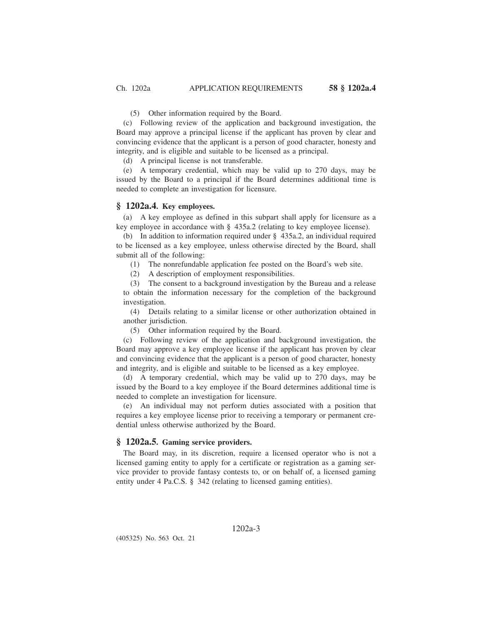(5) Other information required by the Board.

(c) Following review of the application and background investigation, the Board may approve a principal license if the applicant has proven by clear and convincing evidence that the applicant is a person of good character, honesty and integrity, and is eligible and suitable to be licensed as a principal.

(d) A principal license is not transferable.

(e) A temporary credential, which may be valid up to 270 days, may be issued by the Board to a principal if the Board determines additional time is needed to complete an investigation for licensure.

### **§ 1202a.4. Key employees.**

(a) A key employee as defined in this subpart shall apply for licensure as a key employee in accordance with § 435a.2 (relating to key employee license).

(b) In addition to information required under § 435a.2, an individual required to be licensed as a key employee, unless otherwise directed by the Board, shall submit all of the following:

(1) The nonrefundable application fee posted on the Board's web site.

(2) A description of employment responsibilities.

(3) The consent to a background investigation by the Bureau and a release to obtain the information necessary for the completion of the background investigation.

(4) Details relating to a similar license or other authorization obtained in another jurisdiction.

(5) Other information required by the Board.

(c) Following review of the application and background investigation, the Board may approve a key employee license if the applicant has proven by clear and convincing evidence that the applicant is a person of good character, honesty and integrity, and is eligible and suitable to be licensed as a key employee.

(d) A temporary credential, which may be valid up to 270 days, may be issued by the Board to a key employee if the Board determines additional time is needed to complete an investigation for licensure.

(e) An individual may not perform duties associated with a position that requires a key employee license prior to receiving a temporary or permanent credential unless otherwise authorized by the Board.

## **§ 1202a.5. Gaming service providers.**

The Board may, in its discretion, require a licensed operator who is not a licensed gaming entity to apply for a certificate or registration as a gaming service provider to provide fantasy contests to, or on behalf of, a licensed gaming entity under 4 Pa.C.S. § 342 (relating to licensed gaming entities).

(405325) No. 563 Oct. 21